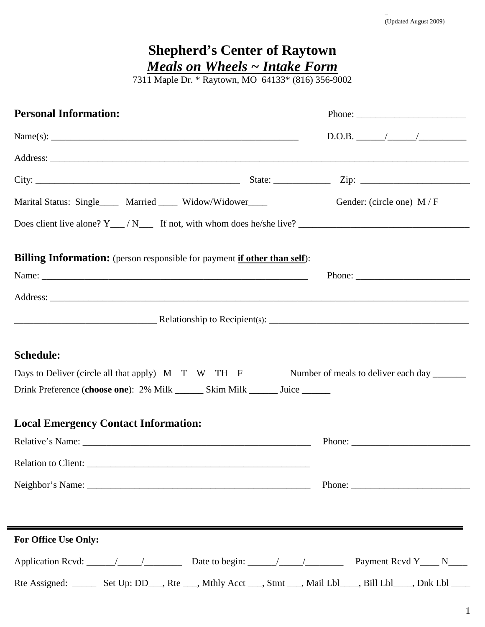|                                                                                               | 7311 Maple Dr. * Raytown, MO 64133* (816) 356-9002                                                                                                                                                                                                                                                                                                                                                           |
|-----------------------------------------------------------------------------------------------|--------------------------------------------------------------------------------------------------------------------------------------------------------------------------------------------------------------------------------------------------------------------------------------------------------------------------------------------------------------------------------------------------------------|
| <b>Personal Information:</b>                                                                  |                                                                                                                                                                                                                                                                                                                                                                                                              |
|                                                                                               |                                                                                                                                                                                                                                                                                                                                                                                                              |
|                                                                                               |                                                                                                                                                                                                                                                                                                                                                                                                              |
|                                                                                               |                                                                                                                                                                                                                                                                                                                                                                                                              |
| Marital Status: Single <u>_______</u> Married ________ Widow/Widower <u>______</u>            | Gender: (circle one) $M/F$                                                                                                                                                                                                                                                                                                                                                                                   |
|                                                                                               |                                                                                                                                                                                                                                                                                                                                                                                                              |
|                                                                                               |                                                                                                                                                                                                                                                                                                                                                                                                              |
| <b>Billing Information:</b> (person responsible for payment <b>if other than self</b> ):      |                                                                                                                                                                                                                                                                                                                                                                                                              |
|                                                                                               |                                                                                                                                                                                                                                                                                                                                                                                                              |
|                                                                                               |                                                                                                                                                                                                                                                                                                                                                                                                              |
|                                                                                               |                                                                                                                                                                                                                                                                                                                                                                                                              |
| <b>Schedule:</b>                                                                              |                                                                                                                                                                                                                                                                                                                                                                                                              |
| Days to Deliver (circle all that apply) M T W TH F Number of meals to deliver each day ______ |                                                                                                                                                                                                                                                                                                                                                                                                              |
| Drink Preference (choose one): 2% Milk ________ Skim Milk _______ Juice ________              |                                                                                                                                                                                                                                                                                                                                                                                                              |
| <b>Local Emergency Contact Information:</b>                                                   |                                                                                                                                                                                                                                                                                                                                                                                                              |
|                                                                                               | Phone: $\frac{1}{\sqrt{1-\frac{1}{2}}\sqrt{1-\frac{1}{2}}\sqrt{1-\frac{1}{2}}\sqrt{1-\frac{1}{2}}\sqrt{1-\frac{1}{2}}\sqrt{1-\frac{1}{2}}\sqrt{1-\frac{1}{2}}\sqrt{1-\frac{1}{2}}\sqrt{1-\frac{1}{2}}\sqrt{1-\frac{1}{2}}\sqrt{1-\frac{1}{2}}\sqrt{1-\frac{1}{2}}\sqrt{1-\frac{1}{2}}\sqrt{1-\frac{1}{2}}\sqrt{1-\frac{1}{2}}\sqrt{1-\frac{1}{2}}\sqrt{1-\frac{1}{2}}\sqrt{1-\frac{1}{2}}\sqrt{1-\frac{1}{2$ |
|                                                                                               |                                                                                                                                                                                                                                                                                                                                                                                                              |
|                                                                                               |                                                                                                                                                                                                                                                                                                                                                                                                              |
|                                                                                               |                                                                                                                                                                                                                                                                                                                                                                                                              |